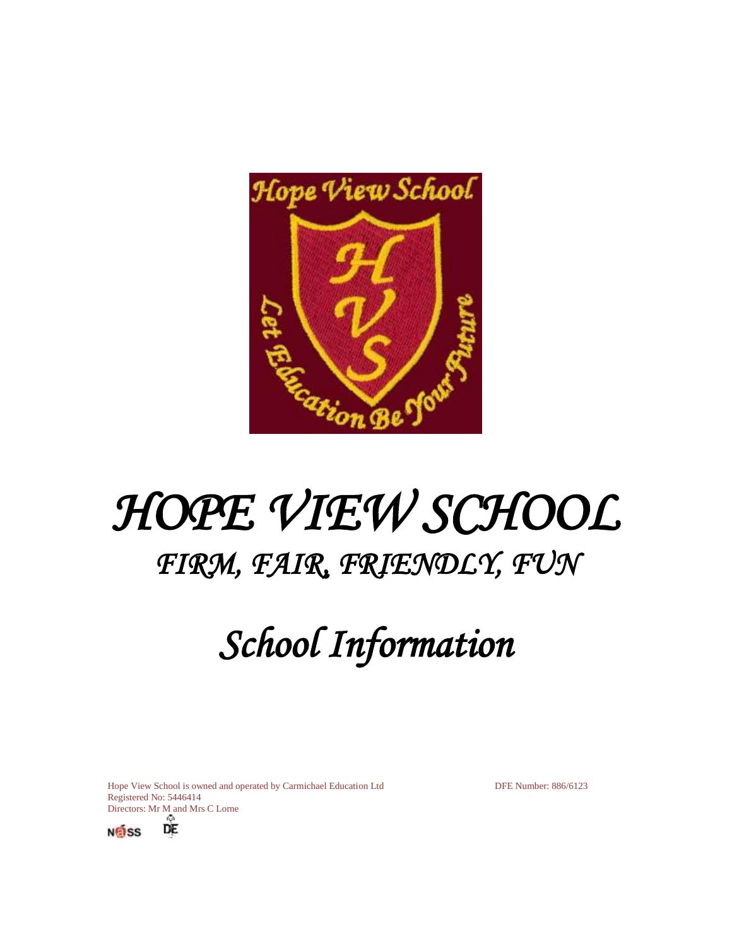

# *HOPE VIEW SCHOOL FIRM, FAIR, FRIENDLY, FUN*

# *School Information*

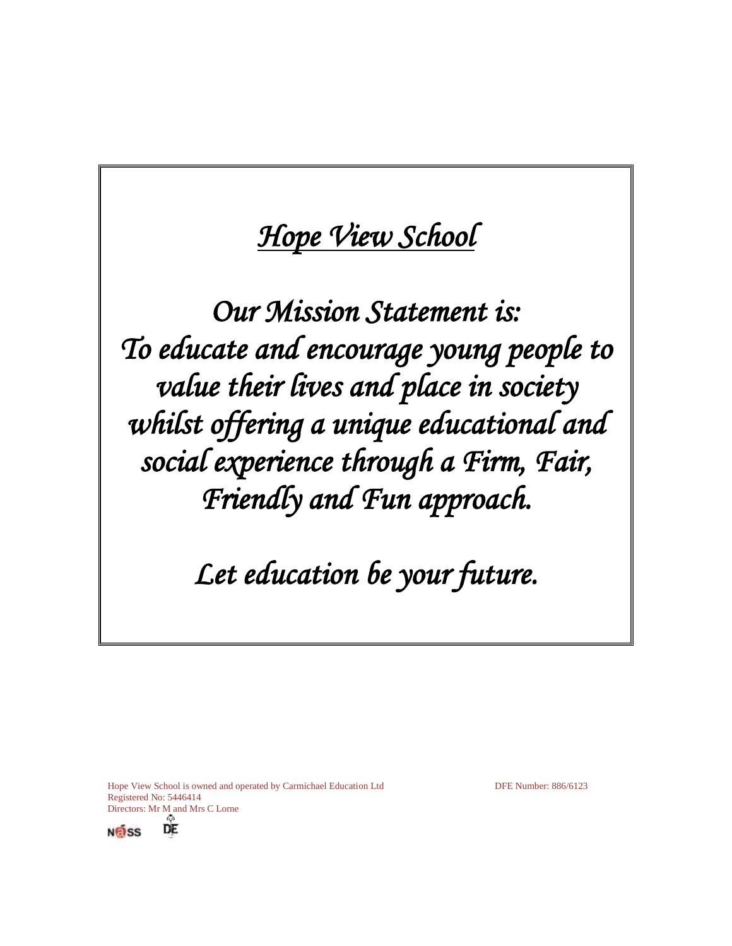## *Hope View School*

*Our Mission Statement is: To educate and encourage young people to value their lives and place in society whilst offering a unique educational and social experience through a Firm, Fair, Friendly and Fun approach.* 

## *Let education be your future.*

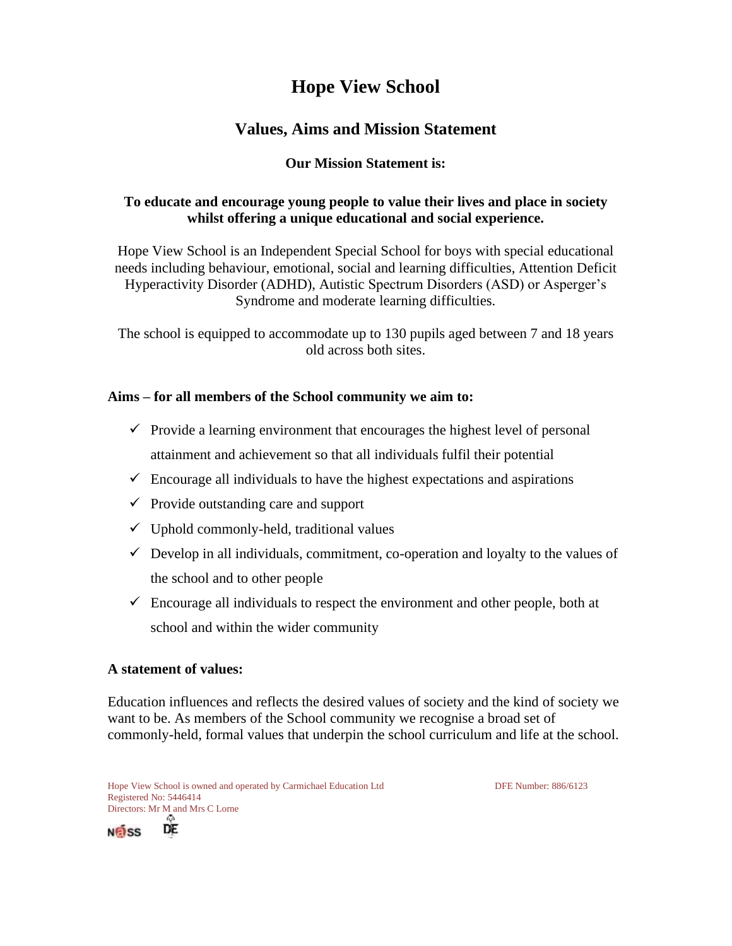### **Hope View School**

### **Values, Aims and Mission Statement**

#### **Our Mission Statement is:**

#### **To educate and encourage young people to value their lives and place in society whilst offering a unique educational and social experience.**

Hope View School is an Independent Special School for boys with special educational needs including behaviour, emotional, social and learning difficulties, Attention Deficit Hyperactivity Disorder (ADHD), Autistic Spectrum Disorders (ASD) or Asperger's Syndrome and moderate learning difficulties.

The school is equipped to accommodate up to 130 pupils aged between 7 and 18 years old across both sites.

#### **Aims – for all members of the School community we aim to:**

- $\checkmark$  Provide a learning environment that encourages the highest level of personal attainment and achievement so that all individuals fulfil their potential
- $\checkmark$  Encourage all individuals to have the highest expectations and aspirations
- $\checkmark$  Provide outstanding care and support
- $\checkmark$  Uphold commonly-held, traditional values
- $\checkmark$  Develop in all individuals, commitment, co-operation and loyalty to the values of the school and to other people
- $\checkmark$  Encourage all individuals to respect the environment and other people, both at school and within the wider community

#### **A statement of values:**

 $N$ nass

Education influences and reflects the desired values of society and the kind of society we want to be. As members of the School community we recognise a broad set of commonly-held, formal values that underpin the school curriculum and life at the school.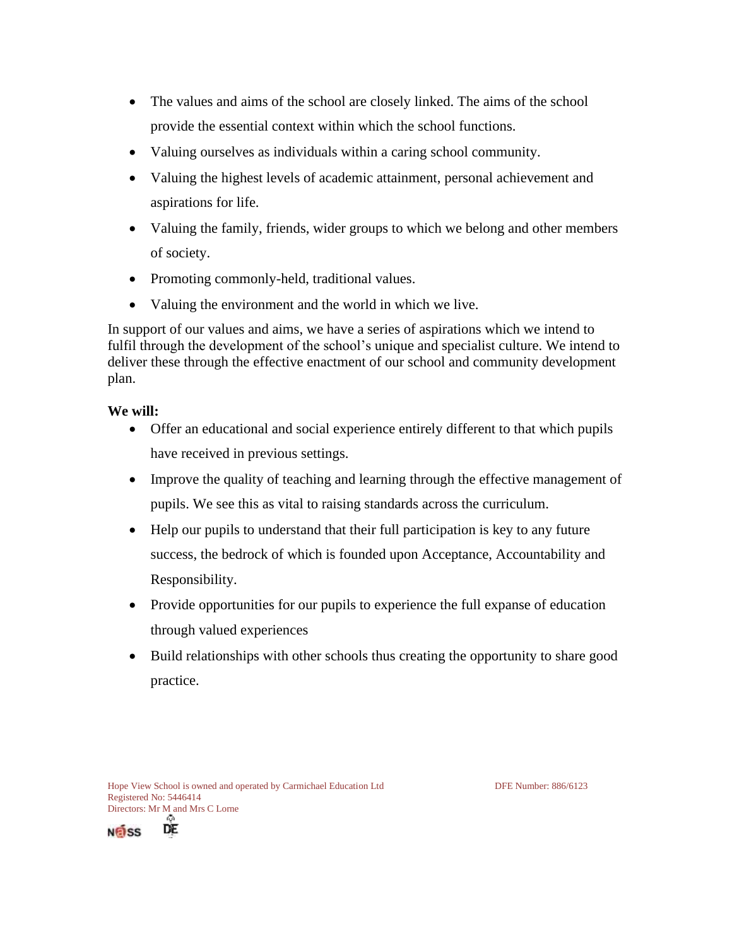- The values and aims of the school are closely linked. The aims of the school provide the essential context within which the school functions.
- Valuing ourselves as individuals within a caring school community.
- Valuing the highest levels of academic attainment, personal achievement and aspirations for life.
- Valuing the family, friends, wider groups to which we belong and other members of society.
- Promoting commonly-held, traditional values.
- Valuing the environment and the world in which we live.

In support of our values and aims, we have a series of aspirations which we intend to fulfil through the development of the school's unique and specialist culture. We intend to deliver these through the effective enactment of our school and community development plan.

#### **We will:**

- Offer an educational and social experience entirely different to that which pupils have received in previous settings.
- Improve the quality of teaching and learning through the effective management of pupils. We see this as vital to raising standards across the curriculum.
- Help our pupils to understand that their full participation is key to any future success, the bedrock of which is founded upon Acceptance, Accountability and Responsibility.
- Provide opportunities for our pupils to experience the full expanse of education through valued experiences
- Build relationships with other schools thus creating the opportunity to share good practice.



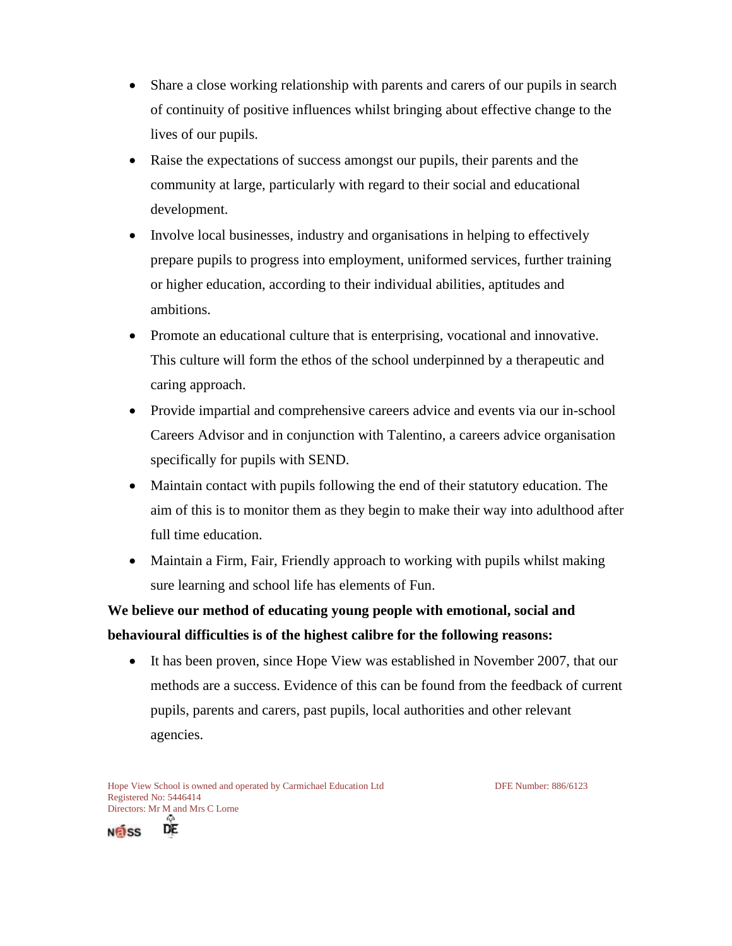- Share a close working relationship with parents and carers of our pupils in search of continuity of positive influences whilst bringing about effective change to the lives of our pupils.
- Raise the expectations of success amongst our pupils, their parents and the community at large, particularly with regard to their social and educational development.
- Involve local businesses, industry and organisations in helping to effectively prepare pupils to progress into employment, uniformed services, further training or higher education, according to their individual abilities, aptitudes and ambitions.
- Promote an educational culture that is enterprising, vocational and innovative. This culture will form the ethos of the school underpinned by a therapeutic and caring approach.
- Provide impartial and comprehensive careers advice and events via our in-school Careers Advisor and in conjunction with Talentino, a careers advice organisation specifically for pupils with SEND.
- Maintain contact with pupils following the end of their statutory education. The aim of this is to monitor them as they begin to make their way into adulthood after full time education.
- Maintain a Firm, Fair, Friendly approach to working with pupils whilst making sure learning and school life has elements of Fun.

**We believe our method of educating young people with emotional, social and behavioural difficulties is of the highest calibre for the following reasons:**

• It has been proven, since Hope View was established in November 2007, that our methods are a success. Evidence of this can be found from the feedback of current pupils, parents and carers, past pupils, local authorities and other relevant agencies.

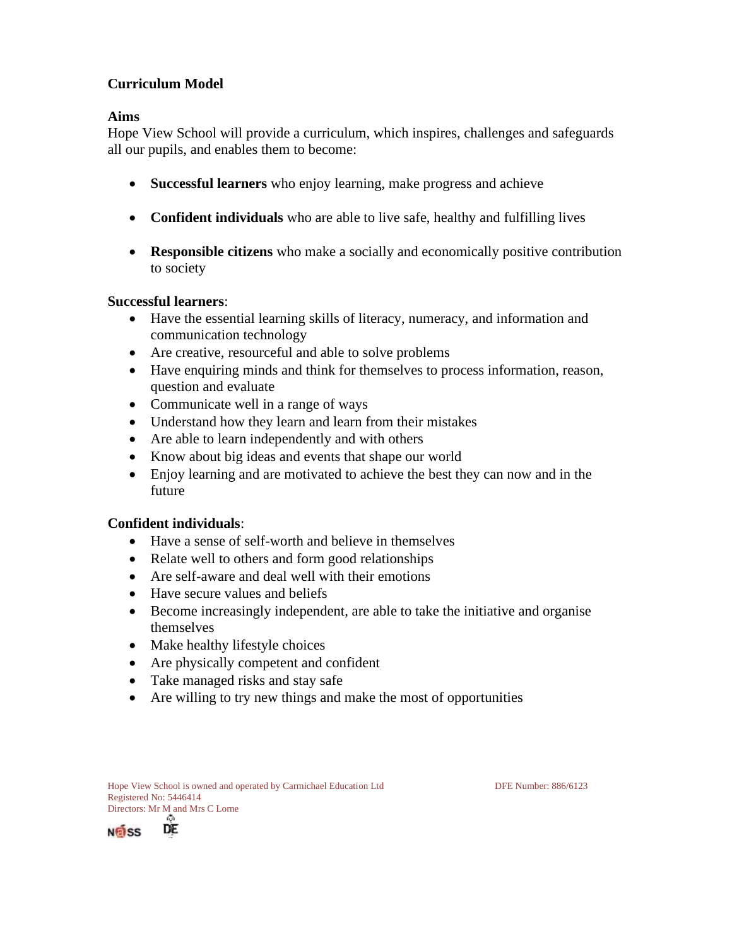#### **Curriculum Model**

#### **Aims**

Hope View School will provide a curriculum, which inspires, challenges and safeguards all our pupils, and enables them to become:

- **Successful learners** who enjoy learning, make progress and achieve
- **Confident individuals** who are able to live safe, healthy and fulfilling lives
- **Responsible citizens** who make a socially and economically positive contribution to society

#### **Successful learners**:

- Have the essential learning skills of literacy, numeracy, and information and communication technology
- Are creative, resourceful and able to solve problems
- Have enquiring minds and think for themselves to process information, reason, question and evaluate
- Communicate well in a range of ways
- Understand how they learn and learn from their mistakes
- Are able to learn independently and with others
- Know about big ideas and events that shape our world
- Enjoy learning and are motivated to achieve the best they can now and in the future

#### **Confident individuals**:

- Have a sense of self-worth and believe in themselves
- Relate well to others and form good relationships
- Are self-aware and deal well with their emotions
- Have secure values and beliefs
- Become increasingly independent, are able to take the initiative and organise themselves
- Make healthy lifestyle choices
- Are physically competent and confident
- Take managed risks and stay safe
- Are willing to try new things and make the most of opportunities



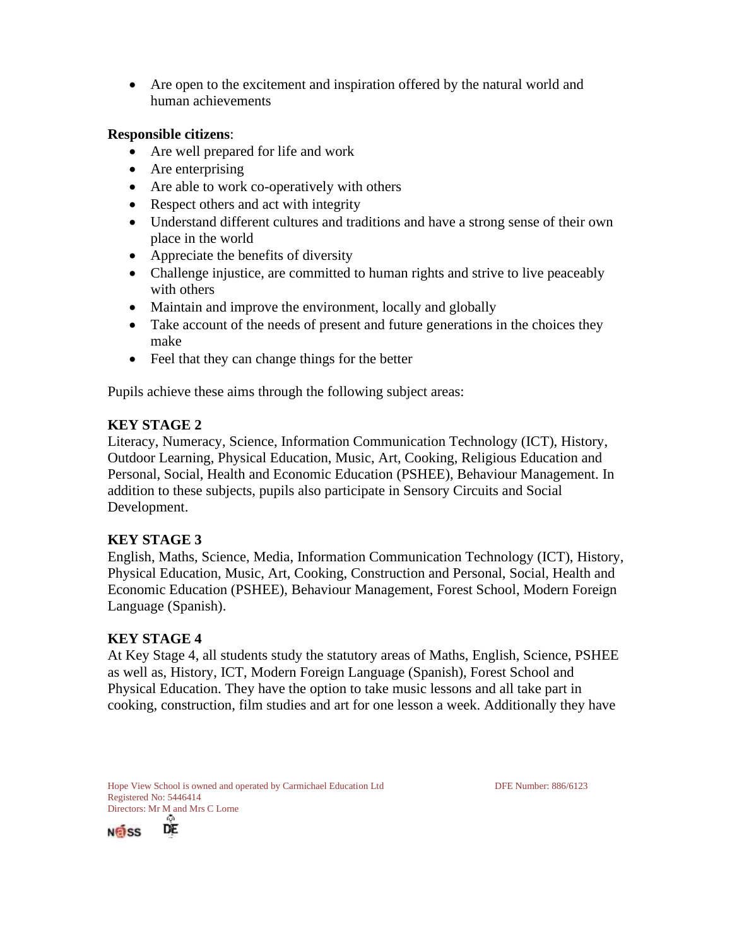• Are open to the excitement and inspiration offered by the natural world and human achievements

#### **Responsible citizens**:

- Are well prepared for life and work
- Are enterprising
- Are able to work co-operatively with others
- Respect others and act with integrity
- Understand different cultures and traditions and have a strong sense of their own place in the world
- Appreciate the benefits of diversity
- Challenge injustice, are committed to human rights and strive to live peaceably with others
- Maintain and improve the environment, locally and globally
- Take account of the needs of present and future generations in the choices they make
- Feel that they can change things for the better

Pupils achieve these aims through the following subject areas:

#### **KEY STAGE 2**

Literacy, Numeracy, Science, Information Communication Technology (ICT), History, Outdoor Learning, Physical Education, Music, Art, Cooking, Religious Education and Personal, Social, Health and Economic Education (PSHEE), Behaviour Management. In addition to these subjects, pupils also participate in Sensory Circuits and Social Development.

#### **KEY STAGE 3**

English, Maths, Science, Media, Information Communication Technology (ICT), History, Physical Education, Music, Art, Cooking, Construction and Personal, Social, Health and Economic Education (PSHEE), Behaviour Management, Forest School, Modern Foreign Language (Spanish).

#### **KEY STAGE 4**

At Key Stage 4, all students study the statutory areas of Maths, English, Science, PSHEE as well as, History, ICT, Modern Foreign Language (Spanish), Forest School and Physical Education. They have the option to take music lessons and all take part in cooking, construction, film studies and art for one lesson a week. Additionally they have



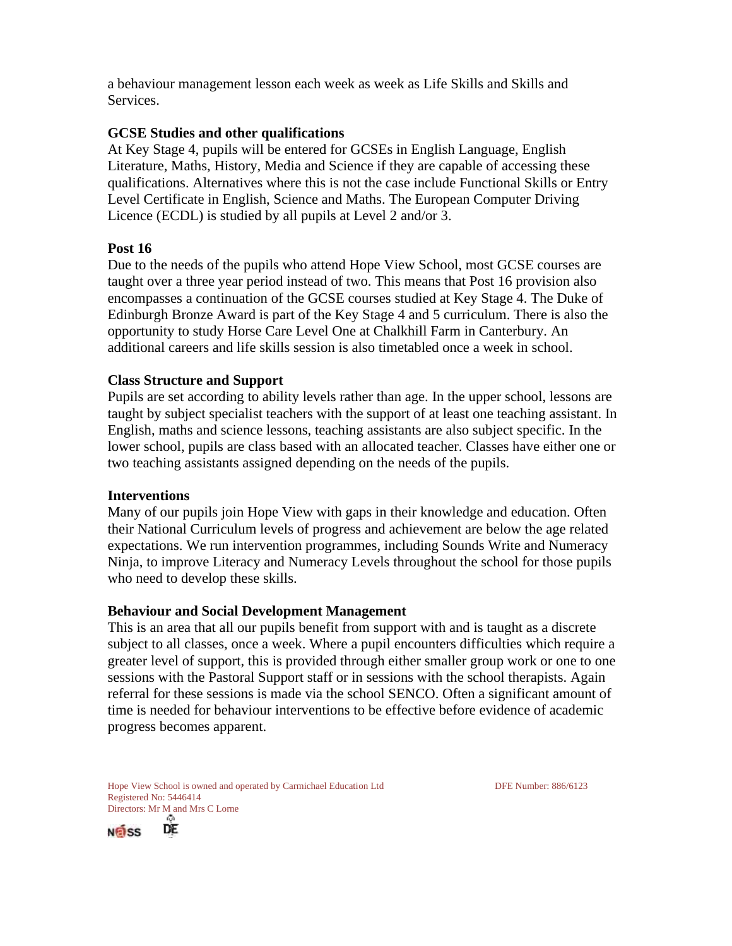a behaviour management lesson each week as week as Life Skills and Skills and Services.

#### **GCSE Studies and other qualifications**

At Key Stage 4, pupils will be entered for GCSEs in English Language, English Literature, Maths, History, Media and Science if they are capable of accessing these qualifications. Alternatives where this is not the case include Functional Skills or Entry Level Certificate in English, Science and Maths. The European Computer Driving Licence (ECDL) is studied by all pupils at Level 2 and/or 3.

#### **Post 16**

Due to the needs of the pupils who attend Hope View School, most GCSE courses are taught over a three year period instead of two. This means that Post 16 provision also encompasses a continuation of the GCSE courses studied at Key Stage 4. The Duke of Edinburgh Bronze Award is part of the Key Stage 4 and 5 curriculum. There is also the opportunity to study Horse Care Level One at Chalkhill Farm in Canterbury. An additional careers and life skills session is also timetabled once a week in school.

#### **Class Structure and Support**

Pupils are set according to ability levels rather than age. In the upper school, lessons are taught by subject specialist teachers with the support of at least one teaching assistant. In English, maths and science lessons, teaching assistants are also subject specific. In the lower school, pupils are class based with an allocated teacher. Classes have either one or two teaching assistants assigned depending on the needs of the pupils.

#### **Interventions**

Many of our pupils join Hope View with gaps in their knowledge and education. Often their National Curriculum levels of progress and achievement are below the age related expectations. We run intervention programmes, including Sounds Write and Numeracy Ninja, to improve Literacy and Numeracy Levels throughout the school for those pupils who need to develop these skills.

#### **Behaviour and Social Development Management**

This is an area that all our pupils benefit from support with and is taught as a discrete subject to all classes, once a week. Where a pupil encounters difficulties which require a greater level of support, this is provided through either smaller group work or one to one sessions with the Pastoral Support staff or in sessions with the school therapists. Again referral for these sessions is made via the school SENCO. Often a significant amount of time is needed for behaviour interventions to be effective before evidence of academic progress becomes apparent.

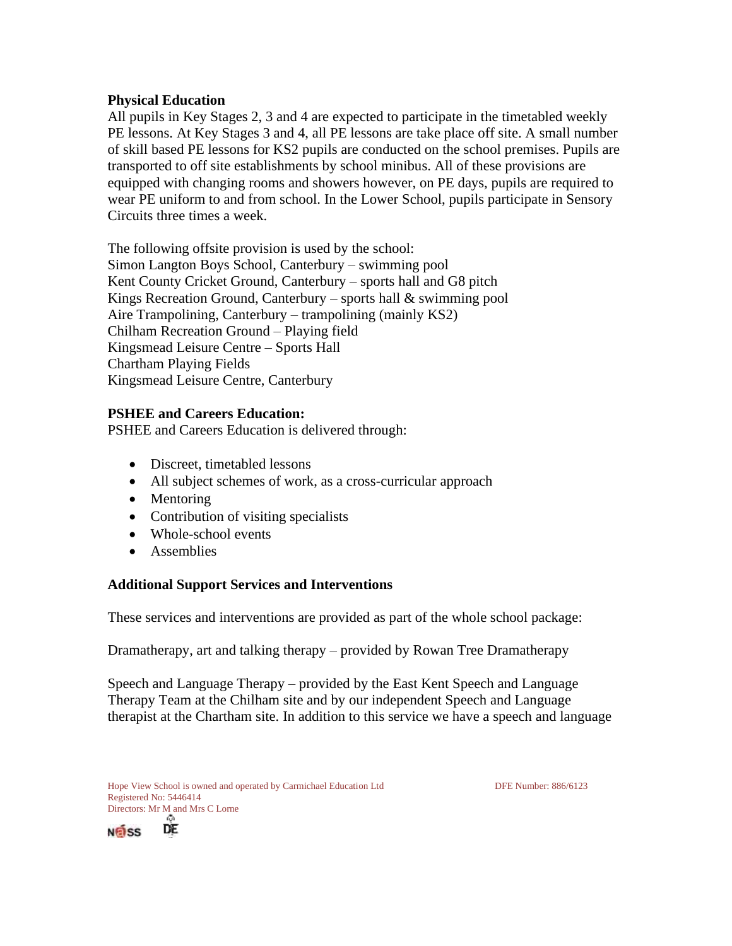#### **Physical Education**

All pupils in Key Stages 2, 3 and 4 are expected to participate in the timetabled weekly PE lessons. At Key Stages 3 and 4, all PE lessons are take place off site. A small number of skill based PE lessons for KS2 pupils are conducted on the school premises. Pupils are transported to off site establishments by school minibus. All of these provisions are equipped with changing rooms and showers however, on PE days, pupils are required to wear PE uniform to and from school. In the Lower School, pupils participate in Sensory Circuits three times a week.

The following offsite provision is used by the school: Simon Langton Boys School, Canterbury – swimming pool Kent County Cricket Ground, Canterbury – sports hall and G8 pitch Kings Recreation Ground, Canterbury – sports hall & swimming pool Aire Trampolining, Canterbury – trampolining (mainly KS2) Chilham Recreation Ground – Playing field Kingsmead Leisure Centre – Sports Hall Chartham Playing Fields Kingsmead Leisure Centre, Canterbury

#### **PSHEE and Careers Education:**

PSHEE and Careers Education is delivered through:

- Discreet, timetabled lessons
- All subject schemes of work, as a cross-curricular approach
- Mentoring
- Contribution of visiting specialists
- Whole-school events
- Assemblies

#### **Additional Support Services and Interventions**

These services and interventions are provided as part of the whole school package:

Dramatherapy, art and talking therapy – provided by Rowan Tree Dramatherapy

Speech and Language Therapy – provided by the East Kent Speech and Language Therapy Team at the Chilham site and by our independent Speech and Language therapist at the Chartham site. In addition to this service we have a speech and language

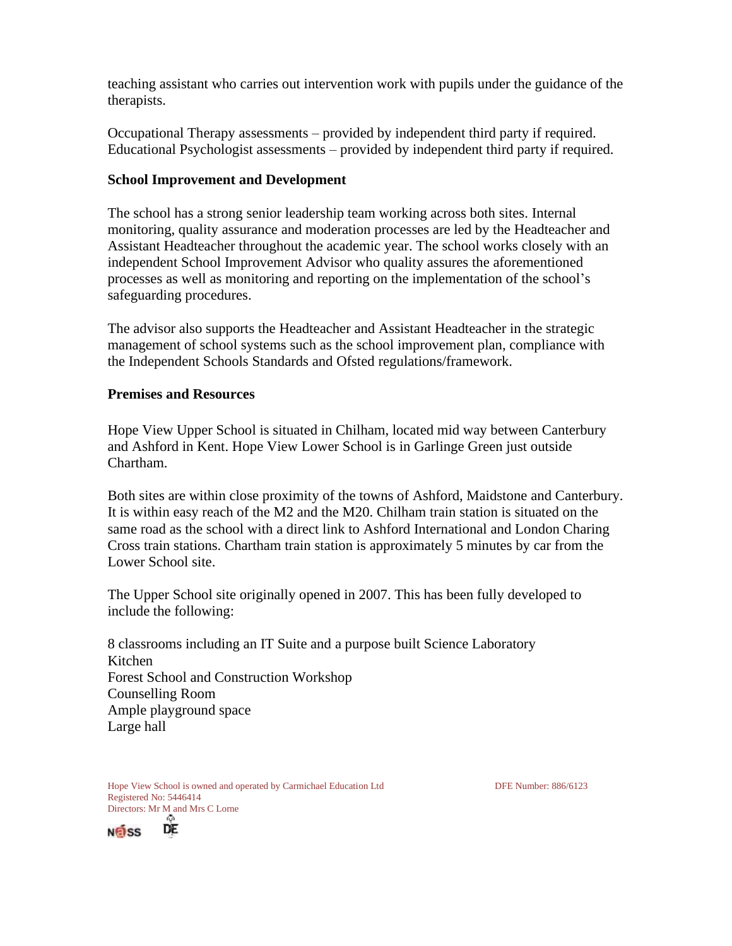teaching assistant who carries out intervention work with pupils under the guidance of the therapists.

Occupational Therapy assessments – provided by independent third party if required. Educational Psychologist assessments – provided by independent third party if required.

#### **School Improvement and Development**

The school has a strong senior leadership team working across both sites. Internal monitoring, quality assurance and moderation processes are led by the Headteacher and Assistant Headteacher throughout the academic year. The school works closely with an independent School Improvement Advisor who quality assures the aforementioned processes as well as monitoring and reporting on the implementation of the school's safeguarding procedures.

The advisor also supports the Headteacher and Assistant Headteacher in the strategic management of school systems such as the school improvement plan, compliance with the Independent Schools Standards and Ofsted regulations/framework.

#### **Premises and Resources**

Hope View Upper School is situated in Chilham, located mid way between Canterbury and Ashford in Kent. Hope View Lower School is in Garlinge Green just outside Chartham.

Both sites are within close proximity of the towns of Ashford, Maidstone and Canterbury. It is within easy reach of the M2 and the M20. Chilham train station is situated on the same road as the school with a direct link to Ashford International and London Charing Cross train stations. Chartham train station is approximately 5 minutes by car from the Lower School site.

The Upper School site originally opened in 2007. This has been fully developed to include the following:

8 classrooms including an IT Suite and a purpose built Science Laboratory Kitchen Forest School and Construction Workshop Counselling Room Ample playground space Large hall